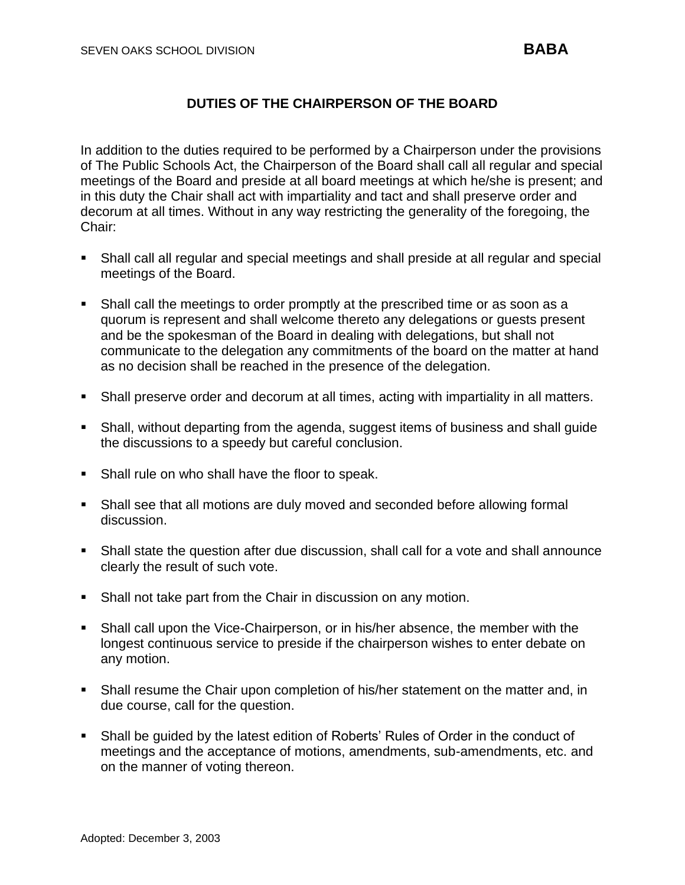## **DUTIES OF THE CHAIRPERSON OF THE BOARD**

In addition to the duties required to be performed by a Chairperson under the provisions of The Public Schools Act, the Chairperson of the Board shall call all regular and special meetings of the Board and preside at all board meetings at which he/she is present; and in this duty the Chair shall act with impartiality and tact and shall preserve order and decorum at all times. Without in any way restricting the generality of the foregoing, the Chair:

- Shall call all regular and special meetings and shall preside at all regular and special meetings of the Board.
- Shall call the meetings to order promptly at the prescribed time or as soon as a quorum is represent and shall welcome thereto any delegations or guests present and be the spokesman of the Board in dealing with delegations, but shall not communicate to the delegation any commitments of the board on the matter at hand as no decision shall be reached in the presence of the delegation.
- **•** Shall preserve order and decorum at all times, acting with impartiality in all matters.
- **•** Shall, without departing from the agenda, suggest items of business and shall guide the discussions to a speedy but careful conclusion.
- Shall rule on who shall have the floor to speak.
- Shall see that all motions are duly moved and seconded before allowing formal discussion.
- Shall state the question after due discussion, shall call for a vote and shall announce clearly the result of such vote.
- Shall not take part from the Chair in discussion on any motion.
- Shall call upon the Vice-Chairperson, or in his/her absence, the member with the longest continuous service to preside if the chairperson wishes to enter debate on any motion.
- **Shall resume the Chair upon completion of his/her statement on the matter and, in** due course, call for the question.
- Shall be quided by the latest edition of Roberts' Rules of Order in the conduct of meetings and the acceptance of motions, amendments, sub-amendments, etc. and on the manner of voting thereon.